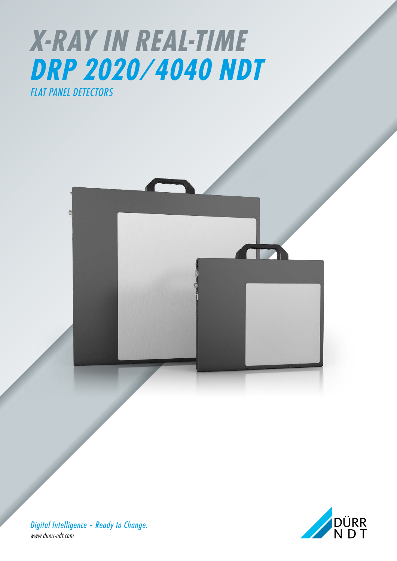



*Digital Intelligence – Ready to Change. www.duerr-ndt.com*